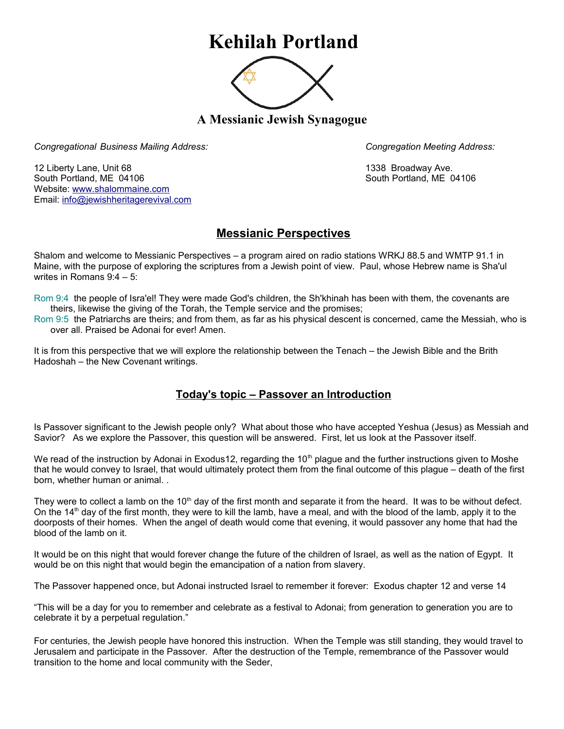## **Kehilah Portland**



**A Messianic Jewish Synagogue** 

*Congregational Business Mailing Address: Congregation Meeting Address:*

12 Liberty Lane, Unit 68 1338 Broadway Ave. South Portland, ME 04106 South Portland, ME 04106 Website: [www.shalommaine.com](http://www.shalommaine.com/) Email: [info@jewishheritagerevival.com](mailto:info@jewishheritagerevival.com) 

## **Messianic Perspectives**

Shalom and welcome to Messianic Perspectives – a program aired on radio stations WRKJ 88.5 and WMTP 91.1 in Maine, with the purpose of exploring the scriptures from a Jewish point of view. Paul, whose Hebrew name is Sha'ul writes in Romans 9:4 – 5:

Rom 9:4 the people of Isra'el! They were made God's children, the Sh'khinah has been with them, the covenants are theirs, likewise the giving of the Torah, the Temple service and the promises;

Rom 9:5 the Patriarchs are theirs; and from them, as far as his physical descent is concerned, came the Messiah, who is over all. Praised be Adonai for ever! Amen.

It is from this perspective that we will explore the relationship between the Tenach – the Jewish Bible and the Brith Hadoshah – the New Covenant writings.

## **Today's topic – Passover an Introduction**

Is Passover significant to the Jewish people only? What about those who have accepted Yeshua (Jesus) as Messiah and Savior? As we explore the Passover, this question will be answered. First, let us look at the Passover itself.

We read of the instruction by Adonai in Exodus12, regarding the 10<sup>th</sup> plague and the further instructions given to Moshe that he would convey to Israel, that would ultimately protect them from the final outcome of this plague – death of the first born, whether human or animal. .

They were to collect a lamb on the 10<sup>th</sup> day of the first month and separate it from the heard. It was to be without defect. On the  $14<sup>th</sup>$  day of the first month, they were to kill the lamb, have a meal, and with the blood of the lamb, apply it to the doorposts of their homes. When the angel of death would come that evening, it would passover any home that had the blood of the lamb on it.

It would be on this night that would forever change the future of the children of Israel, as well as the nation of Egypt. It would be on this night that would begin the emancipation of a nation from slavery.

The Passover happened once, but Adonai instructed Israel to remember it forever: Exodus chapter 12 and verse 14

"This will be a day for you to remember and celebrate as a festival to Adonai; from generation to generation you are to celebrate it by a perpetual regulation."

For centuries, the Jewish people have honored this instruction. When the Temple was still standing, they would travel to Jerusalem and participate in the Passover. After the destruction of the Temple, remembrance of the Passover would transition to the home and local community with the Seder,